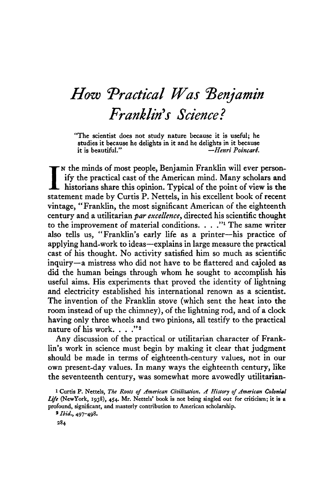# *How ^Practical Was ^Benjamin Franklin's Science?*

"The scientist does not study nature because it is useful; he studies it because he delights in it and he delights in it because<br>it is beautiful."<br>-*Henri Poincaré*. it is beautiful." —*Henri PoincarL*

 $\prod_{\text{stat}}$ N the minds of most people, Benjamin Franklin will ever personify the practical cast of the American mind. Many scholars **and.** historians share this opinion. Typical of the point of view is the statement made by Gurtis P. Nettels, in his excellent book of recent vintage, "Franklin, the most significant American of the eighteenth century and a utilitarian *par excellence >* directed his scientific thought to the improvement of material conditions.  $\ldots$ ." The same writer also tells us, "Franklin's early life as a printer—his practice of applying hand-work to ideas—explains in large measure the practical cast of his thought. No activity satisfied him so much as scientific inquiry—a mistress who did not have to be flattered and cajoled as did the human beings through whom he sought to accomplish his useful aims. His experiments that proved the identity of lightning and electricity established his international renown as a scientist. The invention of the Franklin stove (which sent the heat into the room instead of up the chimney), of the lightning rod, and of a clock having only three wheels and two pinions, all testify to the practical nature of his work. . . . "2

Any discussion of the practical or utilitarian character of Franklin's work in science must begin by making it clear that judgment should be made in terms of eighteenth-century values, not in our own present-day values. In many ways the eighteenth century, like the seventeenth century, was somewhat more avowedly utilitarian-

3 *Ibid.,* 497-498.

l Curtis P. Nettels, *The Roots of American Civilization, A History of American Colonial* Life (NewYork, 1938), 454. Mr. Nettels' book is not being singled out for criticism; it is a profound, significant, and masterly contribution to American scholarship.

**<sup>284</sup>**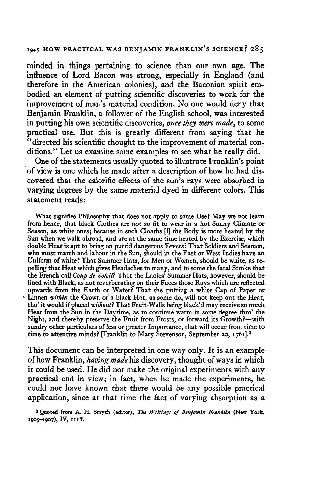minded in things pertaining to science than our own age. The influence of Lord Bacon was strong, especially in England (and therefore in the American colonies), and the Baconian spirit embodied an element of putting scientific discoveries to work for the improvement of man's material condition. No one would deny that Benjamin Franklin, a follower of the English school, was interested in putting his own scientific discoveries, *once they were made,* to some practical use. But this is greatly different from saying that he ''directed his scientific thought to the improvement of material conditions." Let us examine some examples to see what he really did.

One of the statements usually quoted to illustrate Franklin's point of view is one which he made after a description of how he had discovered that the calorific effects of the sun's rays were absorbed in varying degrees by the same material dyed in different colors. This statement reads:

**What signifies Philosophy that does not apply to some Use? May we not learn from hence, that black Clothes are not so fit to wear in a hot Sunny Climate or Season, as white ones; because in such Cloaths [!] the Body is more heated by the Sun when we walk abroad, and are at the same time heated by the Exercise, which double Heat is apt to bring on putrid dangerous Fevers? That Soldiers and Seamen, who must march and labour in the Sun, should in the East or West Indies have an Uniform of white? That Summer Hats, for Men or Women, should be white, as repelling that Heat which gives Headaches to many, and to some the fatal Stroke that the French call** *Coup de Soleil?* **That the Ladies' Summer Hats, however, should be lined with Black, as not reverberating on their Faces those Rays which are reflected upwards from the Earth or Water? That the putting a white Cap of Paper or Linnen** *within* **the Crown of a black Hat, as some do, will not keep out the Heat, tho' it would if placed** *without}* **That Fruit-Walls being black'd may receive so much Heat from the Sun in the Daytime, as to continue warm in some degree thro\* the Night, and thereby preserve the Fruit from Frosts, or forward its Growth?—with sundry other particulars of less or greater Importance, that will occur from time to time to attentive minds? [Franklin to Mary Stevenson, September 20, 1761].<sup>3</sup>**

This document can be interpreted in one way only. It is an example of how Franklin, *having made* his discovery, thought of ways in which it could be used. He did not make the original experiments with any practical end in view; in fact, when he made the experiments, he could not have known that there would be any possible practical application, since at that time the fact of varying absorption as a

**3 Quoted from A. H. Smyth (editor),** *The Writings of Benjamin Franklin* **(New York, 1905-1907), IV, 11 iff.**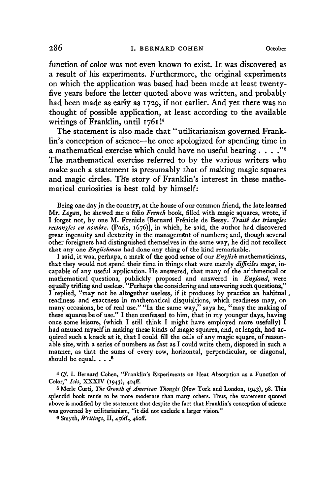function of color was not even known to exist. It was discovered as a result of his experiments. Furthermore, the original experiments on which the application was based had been made at least twentyfive years before the letter quoted above was written, and probably had been made as early as 1729, if not earlier. And yet there was no thought of possible application, at least according to the available writings of Franklin, until 1761 !<sup>4</sup>

The statement is also made that "utilitarianism governed Franklin's conception of science—he once apologized for spending time in a mathematical exercise which could have no useful bearing  $\ldots$ ."<sup>5</sup> The mathematical exercise referred to by the various writers who make such a statement is presumably that of making magic squares and magic circles. The story of Franklin's interest in these mathematical curiosities is best told by himself:

Being one day in the country, at the house of our common friend, the late learned Mr. *Logan,* he shewed me a folio *French* book, filled with magic squares, wrote, if I forget not, by one M. Frenicle [Bernard Frenicle de Bessy. *Traite des triangles rectangles en nombre.* (Paris, 1676)], in which, he said, the author had discovered great ingenuity and dexterity in the management of numbers; and, though several other foreigners had distinguished themselves in the same way, he did not recollect that any one *Englishman* had done any thing of the kind remarkable.

I said, it was, perhaps, a mark of the good sense of our *English* mathematicians, that they would not spend their time in things that were merely difficiles nuga, incapable of any useful application. He answered, that many of the arithmetical or mathematical questions, publickly proposed and answered in *England^* were equally trifling and useless. "Perhaps the considering and answering such questions," I replied, "may not be altogether useless, if it produces by practice an habitual. readiness and exactness in mathematical disquisitions, which readiness may, on many occasions, be of real use." "In the same way," says he, "may the making of these squares be of use." I then confessed to him, that in my younger days, having once some leisure, (which I still think I might have employed more usefully) I had amused myself in making these kinds of magic squares, and, at length, had acquired such a knack at it, that I could fill the cells of any magic square, of reasonable size, with a series of numbers as fast as I could write them, disposed in such a manner, as that the sums of every row, horizontal, perpendicular, or diagonal, should be equal.  $\ldots$ <sup>6</sup>

*\*Cf.* I. Bernard Cohen, "Franklin's Experiments on Heat Absorption as a Function of Color," *Isis,* XXXIV (1943), 404^

5 Merle Curti, *The Growth of American Thought* (New York and London, 1943), 98. This splendid book tends to be more moderate than many others. Thus, the statement quoted above is modified by the statement that despite the fact that Franklin's conception of science was governed by utilitarianism, "it did not exclude a larger vision."

6 Smyth, *Writings,* II, 456E, 46off.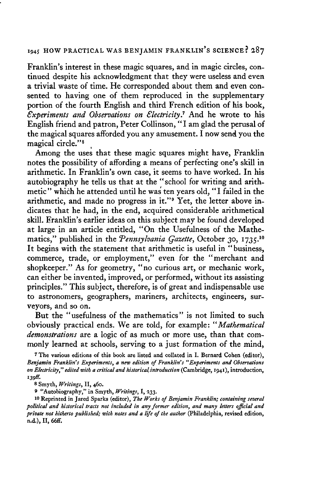Franklin's interest in these magic squares, and in magic circles, continued despite his acknowledgment that they were useless and even a trivial waste of time. He corresponded about them and even consented to having one of them reproduced in the supplementary portion of the fourth English and third French edition of his book, *€xperiments and Observations on Electricity?* And he wrote to his English friend and patron, Peter Collinson, "I am glad the perusal of the magical squares afforded you any amusement. I now send you the magical circle."<sup>8</sup>

Among the uses that these magic squares might have, Franklin notes the possibility of affording a means of perfecting one's skill in arithmetic. In Franklin's own case, it seems to have worked. In his autobiography he tells us that at the "school for writing and arithmetic " whidh he attended until he was ten years old, "I failed in the arithmetic, and made no progress in it."<sup>9</sup> Yet, the letter above indicates that he had, in the end, acquired considerable arithmetical skill. Ifranklin's earlier ideas on this subject may be found developed at large in an article entitled, "On the Usefulness of the Mathematics," published in the *Pennsylvania Gazette*, October 30, 1735.<sup>10</sup> It begins with the statement that arithmetic is useful in "business, commerce, trade, or employment," even for the "merchant and shopkeeper." As for geometry, "no curious art, or mechanic work, can either be invented, improved, or performed, without its assisting principles." This subject, therefore, is of great and indispensable use to astronomers, geographers, mariners, architects, engineers, surveyors, and so on.

But the "usefulness of the mathematics" is not limited to such obviously practical ends. We are told, for example: *"Mathematical demonstrations*are a logic of as much or more use, than that commonly learned at schools, serving to a just formation of the mind,

**7 The various editions of this book are listed and collated in I. Bernard Cohen (editor),** *Benjamin Franklin's Experiments***,** *a new edition of Franklin's "Experiments and Observations<sup>f</sup> on Electricity***,"** *edited with a critical and historical/introduction* **(Cambridge, 1941), introduction/** 139ff.

**8 Smyth,** *Writings,* **II, 460.**

**9 "Autobiography," in Smyth,** *Writings,* **I,** *133.* **/**

**10 Reprinted in Jared Sparks (editor),** *The Works of Benjamin Franklin; containing several political and historical tracts not included in any former edition, and many letters official and private not hitherto published; with notes and a life of the author* **(Philadelphia, revised edition, n.d.), H,** *66ff.*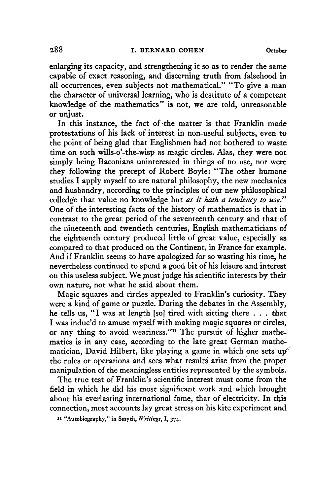enlarging its capacity, and strengthening it so as to render the same capable of exact reasoning, and discerning truth from falsehood in all occurrences, even subjects not mathematical." "To give a man the character of universal learning, who is destitute of a competent knowledge of the mathematics" is not, we are told, unreasonable or unjust.

In this instance, the fact of -the matter is that Franklin made protestations of his lack of interest in non-useful subjects, even to the point of being glad that Englishmen had not bothered to waste time on such wills-o'-the-wisp as magic circles. Alas, they were not simply being Baconians uninterested in things of no use, nor were they following the precept of Robert Boyle: "The other humane studies I apply myself to are natural philosophy, the new mechanics and husbandry, according to the principles of our new philosophical colledge that value no knowledge but *as it hath a tendency to use?<sup>9</sup>* One of the interesting facts of the history of mathematics is that in contrast to the great period of the seventeenth century and that of the nineteenth and twentieth centuries, English mathematicians of the eighteenth century produced little of great value, especially as compared to that produced on the Continent, in France for example. And if Franklin seems to have apologized for so wasting his time, he nevertheless continued to spend a good bit of his leisure and interest on this useless subject. We must judge his scientific interests by their own nature, not what he said about them.

Magic squares and circles appealed to Franklin's curiosity. They were a kind of game or puzzle. During the debates in the Assembly, he tells us, "I was at length [so] tired with sitting there . . . that I was induc'd to amuse myself with making magic squares or circles, or any thing to avoid weariness."<sup>11</sup> The pursuit of higher mathematics is in any case, according to the late great German mathematician, David Hilbert, like playing a game in which one sets  $up^{\sim}$ the rules or operations and sees what results arise from' the proper manipulation of the meaningless entities represented by the symbols.

The true test of Franklin's scientific interest must come from the field in which he did his most significant work and which brought about his everlasting international fame, that of electricity. In this connection, most accounts lay great stress on his kite experiment and

**U "Autobiography," in Smyth,** *Writings,* **I, 374.**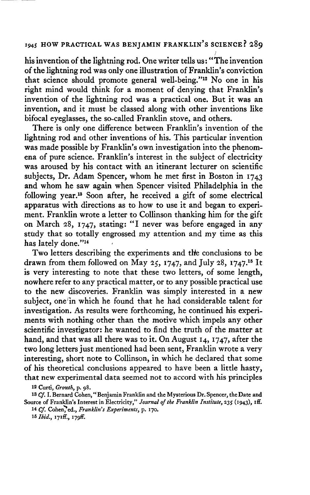his invention of the lightning rod. One writer tells us: "The invention of the lightning rod was only one illustration of Franklin's conviction that science should promote general well-being."<sup>12</sup> No one in his right mind would think for a moment of denying that Franklin's invention of the lightning rod was a practical one. But it was an invention, and it must be classed along with other inventions like bifocal eyeglasses, the so-called Franklin stove, and others.

There is only one difference between Franklin's invention of the lightning rod and other inventions of his. This particular invention was made possible by Franklin's own investigation into the phenomena of pure science. Franklin's interest in the subject of electricity was aroused by his contact with an itinerant lecturer on scientific subjects, Dr. Adam Spencer, whom he met first in Boston in 1743 and whom he saw again when Spencer visited Philadelphia in the following year.<sup>13</sup> Soon after, he received a gift of some electrical apparatus with directions as to how to use it and began to experiment. Franklin wrote a letter to Collinson thanking him for the gift on March 28, 1747, stating: "I never was before engaged in any study that so totally engrossed my attention and my time as this has lately done."<sup>14</sup>  *> •*

Two letters describing the experiments and the conclusions to be drawn from them followed on May 25, 1747, and July 28, 1747.<sup>15</sup> It is very interesting to note that these two letters, of some length, nowhere refer to any practical matter, or to any possible practical use to the new discoveries. Franklin was simply interested in a new subject, one'in which he found that he had considerable talent for investigation. As results were forthcoming, he continued his experiments with nothing other than the motive which impels any other scientific investigator: he wanted to find the truth of the matter at hand, and that was all there was to it. On August 14, 1747, after the two long letters just mentioned had been sent, Franklin wrote a very interesting, short note to Collinson, in which he declared that some of his theoretical conclusions appeared to have been a little hasty, that new experimental data seemed not to accord with his principles

<sup>12</sup> Curti, *Growth,* p. 98.

<sup>13</sup> *Cf.* L Bernard Cohen," Benjamin Franklin and the Mysterious Dr. Spencer, the Date and Source of Franklin's Interest in Electricity," *Journal of the Franklin Institute,* 235 (1943), iff. 14 Cf. Cohen, ed., Franklin's Experiments, p. 170.

<sup>15</sup> *Ibid.,* I7iff., I79ff.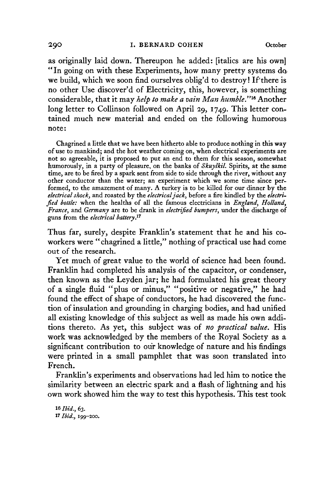as originally laid down. Thereupon he added: [italics are his own] "In going on with these Experiments, how many pretty systems do we build, which we soon find ourselves oblig'd to destroy! If there is no other Use diseover'd of Electricity, this, however, is something considerable, that it may *help to make a vain Man humble"<sup>1</sup> \** Another long letter to Collinson followed on April 29, 1749. This letter contained much new material and ended on the following humorous note:

Chagrined a little that we have been hitherto able to produce nothing in this way of use to mankind; and the hot weather coming on, when electrical experiments are not so agreeable, it is proposed to put an end to them for this season, somewhat humorously, in a party of pleasure, on the banks of *SkuylkiL* Spirits, at the same time, are to be fired by a spark sent from side to side through the river, without any other conductor than the water; an experiment which we some time since performed, to the amazement of many. A turkey is to be killed for our dinner by the *electrical shock,* **and roasted by the** *electrical jack,* **before a fire kindled by the** *electrified bottle:* when the healths of all the famous electricians in *England, Holland, France,* and *Germany* are to be drank in *electrified bumpers,* under the discharge of **guns from the** *electrical battery}<sup>7</sup>*

Thus far, surely, despite Franklin's statement that he and his coworkers were "chagrined a little," nothing of practical use had come out of the research.

Yet much of great value to the world of science had been found. Franklin had completed his analysis of the capacitor, or condenser, then known as the Leyden jar; he had formulated his great theory of a single fluid "plus or minus," "positive or negative," he had found the effect of shape of conductors, he had discovered the function of insulation and grounding in charging bodies, and had unified all existing knowledge of this subject as well as made his own additions thereto. As yet, this subject was of *no practical value.* His work was acknowledged by the members of the Royal Society as a significant contribution to our knowledge of nature and his findings were printed in a small pamphlet that was soon translated into French.

Franklin's experiments and observations had led him to notice the similarity between an electric spark and a flash of lightning and his own work showed him the way to test this hypothesis. This test took

*iGIMd.,63.* 17 *Ibid.,* 199-200. <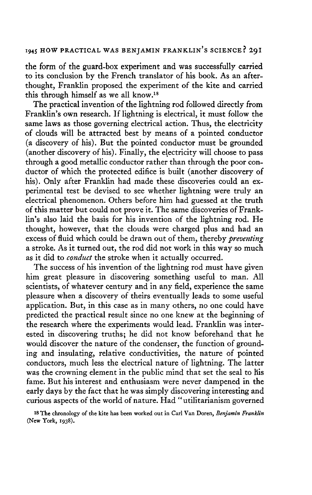the form of the guard-box experiment and was successfully carried to its conclusion by the French translator of his book. As an afterthought, Franklin proposed the experiment of the kite and carried this through himself as we all know.<sup>18</sup>

The practical invention of the lightning rod followed directly from Franklin's own research. If lightning is electrical, it must follow the same laws as those governing electrical action. Thus, the electricity of clouds will be attracted best by means of a pointed conductor (a discovery of his). But the pointed conductor must be grounded (another discovery of his). Finally, the electricity will choose to pass through a good metallic conductor rather than through the poor conductor of which the protected edifice is built (another discovery of his). Only after Franklin had made these discoveries could an experimental test be devised to see whether lightning were truly an electrical phenomenon. Others before him had guessed at the truth of this matter but could not prove it. The same discoveries of Franklin's also laid the basis for his invention of the lightning rod. He thought, however, that the clouds were charged plus and had an excess of fluid which could be drawn out of them, thereby *preventing* a stroke. As it turned out, the rod did not work in this way so much as it did to *conduct* the stroke when it actually occurred.

The success of his invention of the lightning rod must have given him great pleasure in discovering something useful to man. All scientists, of whatever century and in any field, experience the same pleasure when a discovery of theirs eventually leads to some useful application. But, in this case as in many others, no one could have predicted the practical result since no one knew at the beginning of the research where the experiments would lead. Franklin was interested in discovering truths; he did not know beforehand that he would discover the nature of the condenser, the function of grounding and insulating, relative conductivities, the nature of pointed conductors, much less the electrical nature of lightning. The latter was the crowning element in the public mind that set the seal to his fame. But his interest and enthusiasm were never dampened in the early days by the fact that he was simply discovering interesting and curious aspects of the world of nature. Had "utilitarianism governed

18 The chronology of the kite has been worked out in Carl Van Doren, *Benjamin Franklin* (New York, 1938).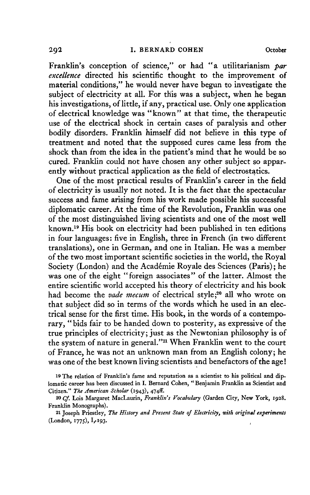Franklin's conception of science/' or had "a utilitarianism *par excellence* directed his scientific thought to the improvement of material conditions/' he would never have begun to investigate the subject of electricity at all. For this was a subject, when he began his investigations, of little, if any, practical use. Only one application of electrical knowledge was "known" at that time, the therapeutic use of the electrical shock in certain cases of paralysis and other bodily disorders. Franklin himself did not believe in this type of treatment and noted that the supposed cures came less from the shock than from the idea in the patient's mind that he would be so cured. Franklin could not have chosen any other subject so apparently without practical application as the field of electrostatics.

One of the most practical results of Franklin's career in the field of electricity is usually not noted. It is the fact that the spectacular success and fame arising from his work made possible his successful diplomatic career. At the time of the Revolution, Franklin was one of the most distinguished living scientists and one of the most well known.<sup>19</sup> His book on electricity had been published in ten editions in four languages: five in English, three in French (in two different translations), one in German, and one in Italian. He was a member of the two most important scientific societies in the world, the Royal Society (London) and the Academie Royale des Sciences (Paris); he was one of the eight "foreign associates" of the latter. Almost the entire scientific world accepted his theory of electricity and his book had become the *vade mecum* of electrical style;<sup>20</sup> all who wrote on that subject did so in terms of the words which he used in an electrical sense for the first time. His book, in the words of a contemporary, "bids fair to be handed down to posterity, as expressive of the true principles of electricity; just as the Newtonian philosophy is of the system of nature in general."<sup>21</sup> When Franklin went to the court of France, he was not an unknown man from an English colony; he was one of the best known living scientists and benefactors of the age!

<sup>19</sup> The relation of Franklin's fame and reputation as a scientist to his political and diplomatic career has been discussed in I. Bernard Cohen, "Benjamin Franklin as Scientist and Citizen." The American Scholar (1943), 474ff.

<sup>20</sup> *Cf.* Lois Margaret MacLaurin, *Franklin's Vocabulary* (Garden City, New York, 1928. Franklin Monographs).

**<sup>2</sup> 1 Joseph Priestley,** *The History and Present State of Electricity, with original experiments* (London, 1775), 1,193.